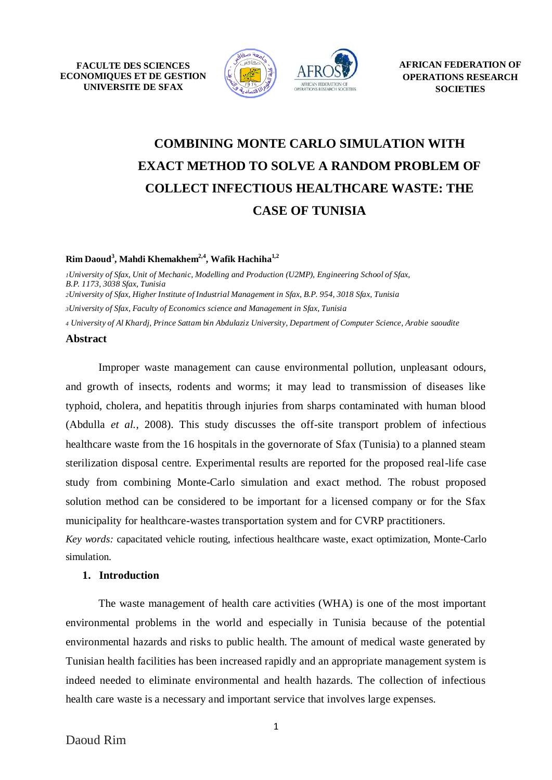**FACULTE DES SCIENCES ECONOMIQUES ET DE GESTION UNIVERSITE DE SFAX**



# **COMBINING MONTE CARLO SIMULATION WITH EXACT METHOD TO SOLVE A RANDOM PROBLEM OF COLLECT INFECTIOUS HEALTHCARE WASTE: THE CASE OF TUNISIA**

#### **Rim Daoud 3 , Mahdi Khemakhem 2,4 , Wafik Hachiha 1,2**

*University of Sfax, Unit of Mechanic, Modelling and Production (U2MP), Engineering School of Sfax, B.P. 1173, 3038 Sfax, Tunisia University of Sfax, Higher Institute of Industrial Management in Sfax, B.P. 954, 3018 Sfax, Tunisia University of Sfax, Faculty of Economics science and Management in Sfax, Tunisia*

*<sup>4</sup> University of Al Khardj[, Prince Sattam bin Abdulaziz University,](https://www.researchgate.net/institution/Prince_Sattam_bin_Abdulaziz_University) [Department of Computer Science,](https://www.researchgate.net/institution/Prince_Sattam_bin_Abdulaziz_University/department/Department_of_Computer_Science2) Arabie saoudite*

#### **Abstract**

Improper waste management can cause environmental pollution, unpleasant odours, and growth of insects, rodents and worms; it may lead to transmission of diseases like typhoid, cholera, and hepatitis through injuries from sharps contaminated with human blood (Abdulla *et al.,* 2008). This study discusses the off-site transport problem of infectious healthcare waste from the 16 hospitals in the governorate of Sfax (Tunisia) to a planned steam sterilization disposal centre. Experimental results are reported for the proposed real-life case study from combining Monte-Carlo simulation and exact method. The robust proposed solution method can be considered to be important for a licensed company or for the Sfax municipality for healthcare-wastes transportation system and for CVRP practitioners.

*Key words:* capacitated vehicle routing, infectious healthcare waste, exact optimization, Monte-Carlo simulation.

#### **1. Introduction**

The waste management of health care activities (WHA) is one of the most important environmental problems in the world and especially in Tunisia because of the potential environmental hazards and risks to public health. The amount of medical waste generated by Tunisian health facilities has been increased rapidly and an appropriate management system is indeed needed to eliminate environmental and health hazards. The collection of infectious health care waste is a necessary and important service that involves large expenses.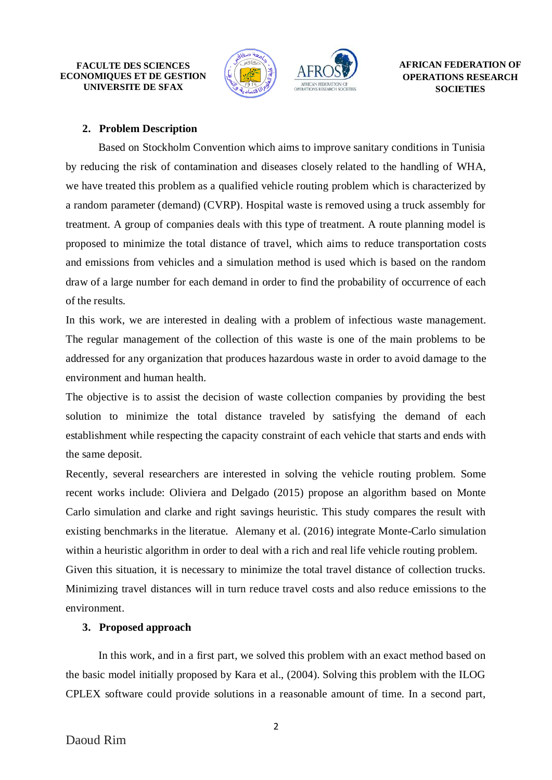**FACULTE DES SCIENCES ECONOMIQUES ET DE GESTION UNIVERSITE DE SFAX**



## **2. Problem Description**

Based on Stockholm Convention which aims to improve sanitary conditions in Tunisia by reducing the risk of contamination and diseases closely related to the handling of WHA, we have treated this problem as a qualified vehicle routing problem which is characterized by a random parameter (demand) (CVRP). Hospital waste is removed using a truck assembly for treatment. A group of companies deals with this type of treatment. A route planning model is proposed to minimize the total distance of travel, which aims to reduce transportation costs and emissions from vehicles and a simulation method is used which is based on the random draw of a large number for each demand in order to find the probability of occurrence of each of the results.

In this work, we are interested in dealing with a problem of infectious waste management. The regular management of the collection of this waste is one of the main problems to be addressed for any organization that produces hazardous waste in order to avoid damage to the environment and human health.

The objective is to assist the decision of waste collection companies by providing the best solution to minimize the total distance traveled by satisfying the demand of each establishment while respecting the capacity constraint of each vehicle that starts and ends with the same deposit.

Recently, several researchers are interested in solving the vehicle routing problem. Some recent works include: Oliviera and Delgado (2015) propose an algorithm based on Monte Carlo simulation and clarke and right savings heuristic. This study compares the result with existing benchmarks in the literatue. Alemany et al. (2016) integrate Monte-Carlo simulation within a heuristic algorithm in order to deal with a rich and real life vehicle routing problem. Given this situation, it is necessary to minimize the total travel distance of collection trucks. Minimizing travel distances will in turn reduce travel costs and also reduce emissions to the environment.

## **3. Proposed approach**

In this work, and in a first part, we solved this problem with an exact method based on the basic model initially proposed by Kara et al., (2004). Solving this problem with the ILOG CPLEX software could provide solutions in a reasonable amount of time. In a second part,